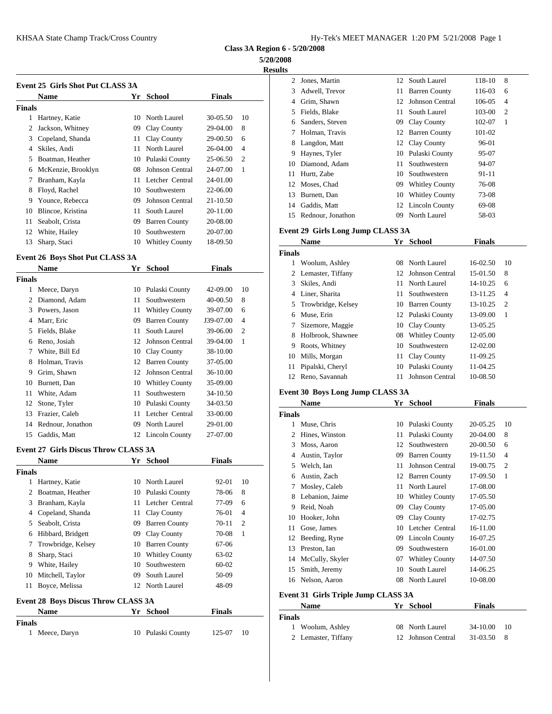**Class 3A Region 6 - 5/20/2008**

**5/20/2008**

| :S11 |  |
|------|--|

|        | Event 25  Girls Shot Put CLASS 3A              |    |                        |               |                | $\mathfrak{D}$ | Jones        |
|--------|------------------------------------------------|----|------------------------|---------------|----------------|----------------|--------------|
|        | <b>Name</b>                                    | Yr | School                 | <b>Finals</b> |                | 3              | Adwe         |
| Finals |                                                |    |                        |               |                | 4              | Grim,        |
| 1      | Hartney, Katie                                 |    | 10 North Laurel        | 30-05.50      | 10             | 5              | Fields       |
| 2      | Jackson, Whitney                               | 09 | Clay County            | 29-04.00      | 8              | 6              | Sande        |
| 3      | Copeland, Shanda                               | 11 | Clay County            | 29-00.50      | 6              | 8              | Holm         |
| 4      | Skiles, Andi                                   | 11 | North Laurel           | 26-04.00      | $\overline{4}$ |                | Lango        |
| 5      | Boatman, Heather                               | 10 | Pulaski County         | 25-06.50      | $\overline{c}$ | 9<br>10        | Hayn<br>Diam |
| 6      | McKenzie, Brooklyn                             | 08 | <b>Johnson Central</b> | 24-07.00      | 1              | 11             |              |
| 7      | Branham, Kayla                                 |    | 11 Letcher Central     | 24-01.00      |                |                | Hurtt,       |
| 8      | Floyd, Rachel                                  | 10 | Southwestern           | 22-06.00      |                | 12<br>13       | Mose         |
| 9      | Younce, Rebecca                                | 09 | Johnson Central        | 21-10.50      |                |                | Burne        |
| 10     | Blincoe, Kristina                              | 11 | South Laurel           | 20-11.00      |                | 14             | Gaddi        |
| 11     | Seabolt, Crista                                | 09 | <b>Barren County</b>   | 20-08.00      |                | 15             | Redno        |
| 12     | White, Hailey                                  | 10 | Southwestern           | 20-07.00      |                | Event 29 G     |              |
| 13     | Sharp, Staci                                   | 10 | <b>Whitley County</b>  | 18-09.50      |                |                | Nam          |
|        | E------ 4 26 D ---- 61 -- 4 D -- 4 OF A 66 2 A |    |                        |               |                | <b>Finals</b>  |              |

# **Event 26 Boys Shot Put CLASS 3A**

|        | <b>Name</b>       | Yr | School                 | <b>Finals</b> |                |               |               |
|--------|-------------------|----|------------------------|---------------|----------------|---------------|---------------|
| Finals |                   |    |                        |               |                | 2             | Lema          |
| 1      | Meece, Daryn      |    | 10 Pulaski County      | 42-09.00      | 10             | 3             | <b>Skiles</b> |
| 2      | Diamond, Adam     | 11 | Southwestern           | 40-00.50      | 8              | 4             | Liner.        |
| 3      | Powers, Jason     |    | 11 Whitley County      | 39-07.00      | 6              | 5             | Trowl         |
| 4      | Marr, Eric        | 09 | <b>Barren County</b>   | J39-07.00     | $\overline{4}$ | 6             | Muse          |
| 5      | Fields, Blake     | 11 | South Laurel           | 39-06.00      | $\overline{c}$ | 7             | Sizen         |
| 6      | Reno, Josiah      | 12 | Johnson Central        | 39-04.00      | 1              | 8             | Holbr         |
| 7      | White, Bill Ed    |    |                        | 38-10.00      |                | 9             | Roots         |
|        |                   |    | 10 Clay County         |               |                | 10            | Mills.        |
| 8      | Holman, Travis    |    | 12 Barren County       | 37-05.00      |                | 11            | Pipals        |
| 9      | Grim, Shawn       | 12 | <b>Johnson Central</b> | 36-10.00      |                |               |               |
| 10     | Burnett, Dan      | 10 | <b>Whitley County</b>  | 35-09.00      |                | 12            | Reno,         |
| 11     | White, Adam       | 11 | Southwestern           | 34-10.50      |                | Event 30 B    |               |
| 12     | Stone, Tyler      |    | 10 Pulaski County      | 34-03.50      |                |               | <b>Nam</b>    |
| 13     | Frazier, Caleb    | 11 | Letcher Central        | 33-00.00      |                | <b>Finals</b> |               |
| 14     | Rednour, Jonathon | 09 | North Laurel           | 29-01.00      |                |               | Muse          |
| 15     | Gaddis, Matt      |    | 12 Lincoln County      | 27-07.00      |                |               | Hines         |

#### **Event 27 Girls Discus Throw CLASS 3A**

**Finals**

|                              | <b>Name</b>                                                                                                     |                      | Yr School                                                                                                    | <b>Finals</b>                                              |                                                  |                            | Austr                                     |
|------------------------------|-----------------------------------------------------------------------------------------------------------------|----------------------|--------------------------------------------------------------------------------------------------------------|------------------------------------------------------------|--------------------------------------------------|----------------------------|-------------------------------------------|
| <b>Finals</b>                |                                                                                                                 |                      |                                                                                                              |                                                            |                                                  | 5.                         | Welcl                                     |
| 2<br>3<br>4                  | Hartney, Katie<br>Boatman, Heather<br>Branham, Kayla<br>Copeland, Shanda                                        | 11                   | 10 North Laurel<br>10 Pulaski County<br>11 Letcher Central<br>Clay County                                    | 92-01<br>78-06<br>77-09<br>76-01                           | 10<br>8<br>6<br>$\overline{4}$<br>$\overline{2}$ | 6<br>8.<br>9<br>10         | Austin<br>Mosle<br>Lebar<br>Reid,<br>Hook |
| 5.<br>6<br>7<br>8<br>9<br>10 | Seabolt, Crista<br>Hibbard, Bridgett<br>Trowbridge, Kelsey<br>Sharp, Staci<br>White, Hailey<br>Mitchell, Taylor | 09<br>09<br>10<br>09 | <b>Barren County</b><br>Clay County<br>10 Barren County<br>10 Whitley County<br>Southwestern<br>South Laurel | $70 - 11$<br>70-08<br>67-06<br>63-02<br>$60 - 02$<br>50-09 | 1                                                | 11<br>12<br>13<br>14<br>15 | Gose,<br>Beedi<br>Presto<br>McCu<br>Smith |
| 11                           | Boyce, Melissa<br><b>Event 28 Boys Discus Throw CLASS 3A</b><br><b>Name</b>                                     | Yr                   | 12 North Laurel<br><b>School</b>                                                                             | 48-09<br><b>Finals</b>                                     |                                                  | Event 31 G<br>Finala       | 16 Nelso<br><b>Nam</b>                    |

Meece, Daryn 10 Pulaski County 125-07 10

| 74072000 |                   |    |                        |        |                |
|----------|-------------------|----|------------------------|--------|----------------|
| Results  |                   |    |                        |        |                |
| 2        | Jones, Martin     | 12 | South Laurel           | 118-10 | 8              |
| 3        | Adwell, Trevor    | 11 | <b>Barren County</b>   | 116-03 | 6              |
| 4        | Grim, Shawn       | 12 | <b>Johnson Central</b> | 106-05 | $\overline{4}$ |
| 5        | Fields, Blake     | 11 | South Laurel           | 103-00 | 2              |
| 6        | Sanders, Steven   | 09 | Clay County            | 102-07 | -1             |
|          | Holman, Travis    | 12 | <b>Barren County</b>   | 101-02 |                |
| 8        | Langdon, Matt     |    | 12 Clay County         | 96-01  |                |
| 9        | Haynes, Tyler     | 10 | Pulaski County         | 95-07  |                |
| 10       | Diamond, Adam     | 11 | Southwestern           | 94-07  |                |
| 11       | Hurtt, Zabe       | 10 | Southwestern           | 91-11  |                |
| 12       | Moses, Chad       | 09 | <b>Whitley County</b>  | 76-08  |                |
| 13       | Burnett, Dan      | 10 | <b>Whitley County</b>  | 73-08  |                |
| 14       | Gaddis, Matt      | 12 | Lincoln County         | 69-08  |                |
| 15       | Rednour, Jonathon | 09 | North Laurel           | 58-03  |                |

### **Event 29 Girls Long Jump CLASS 3A**

|        | <b>Name</b>          | Yr | <b>School</b>        | <b>Finals</b> |                |
|--------|----------------------|----|----------------------|---------------|----------------|
| Finals |                      |    |                      |               |                |
| 1      | Woolum, Ashley       |    | 08 North Laurel      | $16-02.50$    | 10             |
|        | 2 Lemaster, Tiffany  |    | 12 Johnson Central   | 15-01.50      | 8              |
| 3      | Skiles, Andi         | 11 | North Laurel         | $14 - 10.25$  | 6              |
| 4      | Liner, Sharita       |    | 11 Southwestern      | 13-11.25      | $\overline{4}$ |
|        | 5 Trowbridge, Kelsey | 10 | <b>Barren County</b> | 13-10.25      | $\overline{2}$ |
| 6      | Muse, Erin           |    | 12 Pulaski County    | 13-09.00      | 1              |
| 7      | Sizemore, Maggie     |    | 10 Clay County       | 13-05.25      |                |
| 8      | Holbrook, Shawnee    |    | 08 Whitley County    | 12-05.00      |                |
| 9      | Roots, Whitney       | 10 | Southwestern         | 12-02.00      |                |
| 10     | Mills, Morgan        |    | 11 Clay County       | 11-09.25      |                |
| 11     | Pipalski, Cheryl     | 10 | Pulaski County       | 11-04.25      |                |
| 12     | Reno, Savannah       | 11 | Johnson Central      | 10-08.50      |                |

## **Event 30 Boys Long Jump CLASS 3A**

|        | Name               | Yr                         | <b>School</b>          | <b>Finals</b> |                |
|--------|--------------------|----------------------------|------------------------|---------------|----------------|
| Finals |                    |                            |                        |               |                |
| 1      | Muse, Chris        |                            | 10 Pulaski County      | 20-05.25      | 10             |
| 2      | Hines, Winston     |                            | 11 Pulaski County      | 20-04.00      | 8              |
| 3      | Moss, Aaron        | 12                         | Southwestern           | 20-00.50      | 6              |
| 4      | Austin, Taylor     | 09                         | <b>Barren County</b>   | 19-11.50      | $\overline{4}$ |
| 5.     | Welch, Ian         | 11                         | <b>Johnson Central</b> | 19-00.75      | $\overline{c}$ |
| 6      | Austin, Zach       |                            | 12 Barren County       | 17-09.50      | 1              |
| 7      | Mosley, Caleb      | 11                         | North Laurel           | 17-08.00      |                |
| 8      | Lebanion, Jaime    | 10                         | <b>Whitley County</b>  | 17-05.50      |                |
| 9      | Reid, Noah         | 09                         | Clay County            | 17-05.00      |                |
| 10     | Hooker, John       | 09                         | Clay County            | 17-02.75      |                |
| 11     | Gose, James        | 10                         | Letcher Central        | 16-11.00      |                |
| 12     | Beeding, Ryne      | 09                         | <b>Lincoln County</b>  | 16-07.25      |                |
| 13     | Preston, Ian       | 09                         | Southwestern           | 16-01.00      |                |
|        | 14 McCully, Skyler | 07                         | <b>Whitley County</b>  | 14-07.50      |                |
| 15     | Smith, Jeremy      | 10                         | South Laurel           | 14-06.25      |                |
|        | 16 Nelson, Aaron   | 08                         | North Laurel           | 10-08.00      |                |
| -      | . .                | $\alpha$ $\alpha$ $\alpha$ |                        |               |                |

### **Event 31 Girls Triple Jump CLASS 3A**

| Name                | Yr School          | <b>Finals</b>    |
|---------------------|--------------------|------------------|
| Finals              |                    |                  |
| 1 Woolum, Ashley    | 08 North Laurel    | 34-10.00<br>- 10 |
| 2 Lemaster, Tiffany | 12 Johnson Central | 31-03.50         |